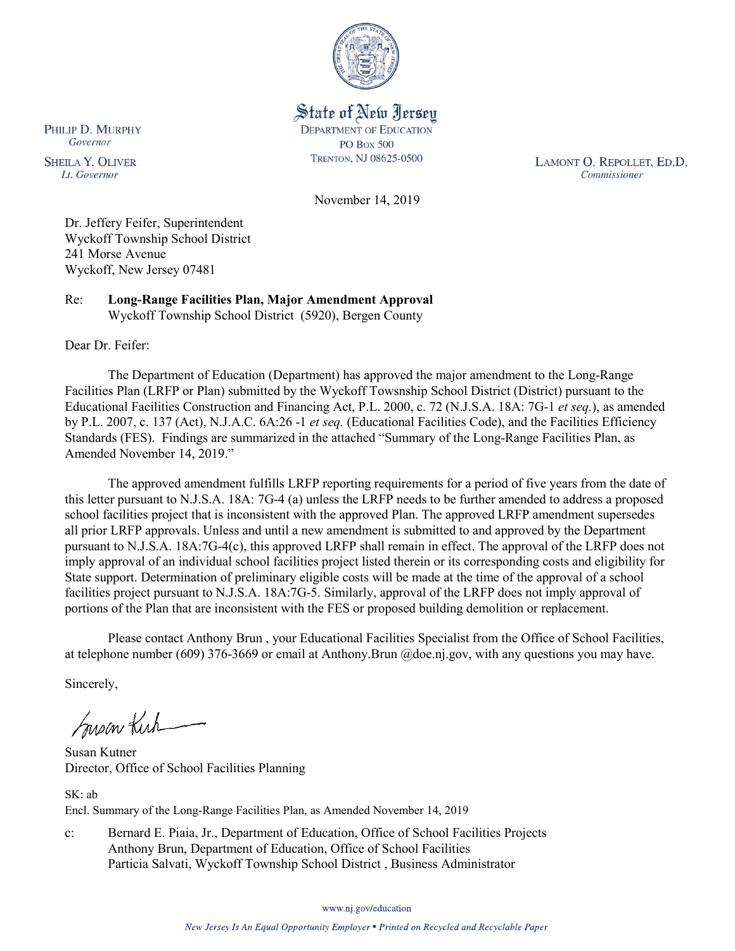

State of New Jersey **DEPARTMENT OF EDUCATION PO Box 500** TRENTON, NJ 08625-0500

LAMONT O. REPOLLET, ED.D. Commissioner

November 14, 2019

Dr. Jeffery Feifer, Superintendent Wyckoff Township School District 241 Morse Avenue Wyckoff, New Jersey 07481

Re: **Long-Range Facilities Plan, Major Amendment Approval** Wyckoff Township School District (5920), Bergen County

Dear Dr. Feifer:

PHILIP D. MURPHY Governor

**SHEILA Y. OLIVER** 

Lt. Governor

The Department of Education (Department) has approved the major amendment to the Long-Range Facilities Plan (LRFP or Plan) submitted by the Wyckoff Towsnship School District (District) pursuant to the Educational Facilities Construction and Financing Act, P.L. 2000, c. 72 (N.J.S.A. 18A: 7G-1 *et seq.*), as amended by P.L. 2007, c. 137 (Act), N.J.A.C. 6A:26 -1 *et seq.* (Educational Facilities Code), and the Facilities Efficiency Standards (FES). Findings are summarized in the attached "Summary of the Long-Range Facilities Plan, as Amended November 14, 2019."

The approved amendment fulfills LRFP reporting requirements for a period of five years from the date of this letter pursuant to N.J.S.A. 18A: 7G-4 (a) unless the LRFP needs to be further amended to address a proposed school facilities project that is inconsistent with the approved Plan. The approved LRFP amendment supersedes all prior LRFP approvals. Unless and until a new amendment is submitted to and approved by the Department pursuant to N.J.S.A. 18A:7G-4(c), this approved LRFP shall remain in effect. The approval of the LRFP does not imply approval of an individual school facilities project listed therein or its corresponding costs and eligibility for State support. Determination of preliminary eligible costs will be made at the time of the approval of a school facilities project pursuant to N.J.S.A. 18A:7G-5. Similarly, approval of the LRFP does not imply approval of portions of the Plan that are inconsistent with the FES or proposed building demolition or replacement.

Please contact Anthony Brun , your Educational Facilities Specialist from the Office of School Facilities, at telephone number (609) 376-3669 or email at Anthony.Brun @doe.nj.gov, with any questions you may have.

Sincerely,

Susan Kich

Susan Kutner Director, Office of School Facilities Planning

SK: ab Encl. Summary of the Long-Range Facilities Plan, as Amended November 14, 2019

c: Bernard E. Piaia, Jr., Department of Education, Office of School Facilities Projects Anthony Brun, Department of Education, Office of School Facilities Particia Salvati, Wyckoff Township School District , Business Administrator

www.nj.gov/education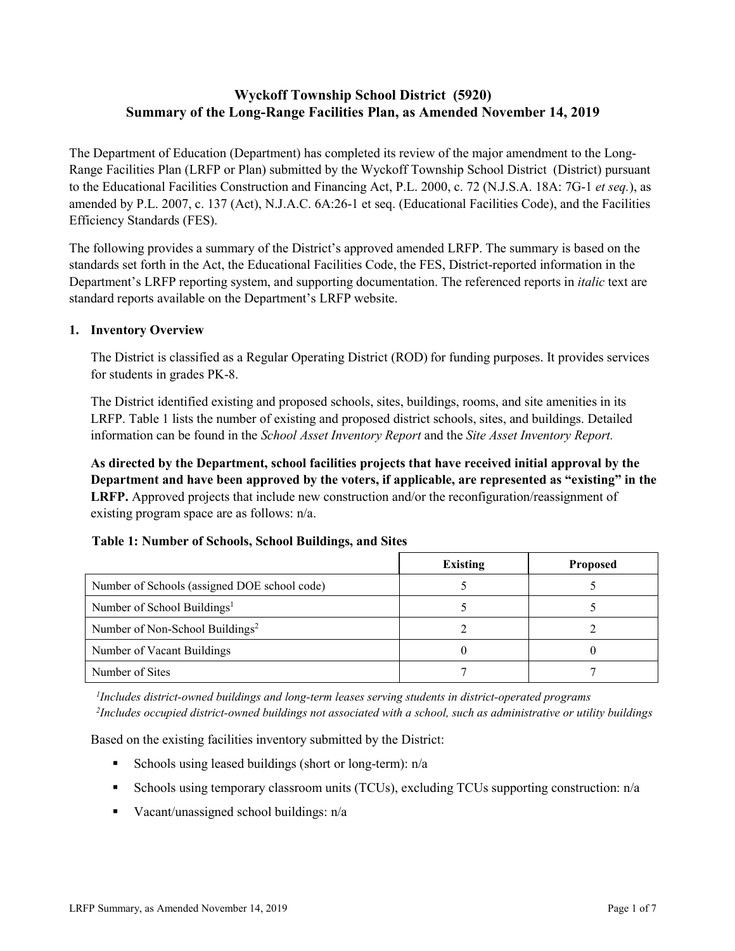# **Wyckoff Township School District (5920) Summary of the Long-Range Facilities Plan, as Amended November 14, 2019**

The Department of Education (Department) has completed its review of the major amendment to the Long-Range Facilities Plan (LRFP or Plan) submitted by the Wyckoff Township School District (District) pursuant to the Educational Facilities Construction and Financing Act, P.L. 2000, c. 72 (N.J.S.A. 18A: 7G-1 *et seq.*), as amended by P.L. 2007, c. 137 (Act), N.J.A.C. 6A:26-1 et seq. (Educational Facilities Code), and the Facilities Efficiency Standards (FES).

The following provides a summary of the District's approved amended LRFP. The summary is based on the standards set forth in the Act, the Educational Facilities Code, the FES, District-reported information in the Department's LRFP reporting system, and supporting documentation. The referenced reports in *italic* text are standard reports available on the Department's LRFP website.

# **1. Inventory Overview**

The District is classified as a Regular Operating District (ROD) for funding purposes. It provides services for students in grades PK-8.

The District identified existing and proposed schools, sites, buildings, rooms, and site amenities in its LRFP. Table 1 lists the number of existing and proposed district schools, sites, and buildings. Detailed information can be found in the *School Asset Inventory Report* and the *Site Asset Inventory Report.*

**As directed by the Department, school facilities projects that have received initial approval by the Department and have been approved by the voters, if applicable, are represented as "existing" in the LRFP.** Approved projects that include new construction and/or the reconfiguration/reassignment of existing program space are as follows: n/a.

| Table 1: Number of Schools, School Buildings, and Sites |  |  |  |
|---------------------------------------------------------|--|--|--|
|---------------------------------------------------------|--|--|--|

|                                              | <b>Existing</b> | <b>Proposed</b> |
|----------------------------------------------|-----------------|-----------------|
| Number of Schools (assigned DOE school code) |                 |                 |
| Number of School Buildings <sup>1</sup>      |                 |                 |
| Number of Non-School Buildings <sup>2</sup>  |                 |                 |
| Number of Vacant Buildings                   |                 |                 |
| Number of Sites                              |                 |                 |

*1 Includes district-owned buildings and long-term leases serving students in district-operated programs 2 Includes occupied district-owned buildings not associated with a school, such as administrative or utility buildings*

Based on the existing facilities inventory submitted by the District:

- Schools using leased buildings (short or long-term):  $n/a$
- Schools using temporary classroom units (TCUs), excluding TCUs supporting construction: n/a
- Vacant/unassigned school buildings:  $n/a$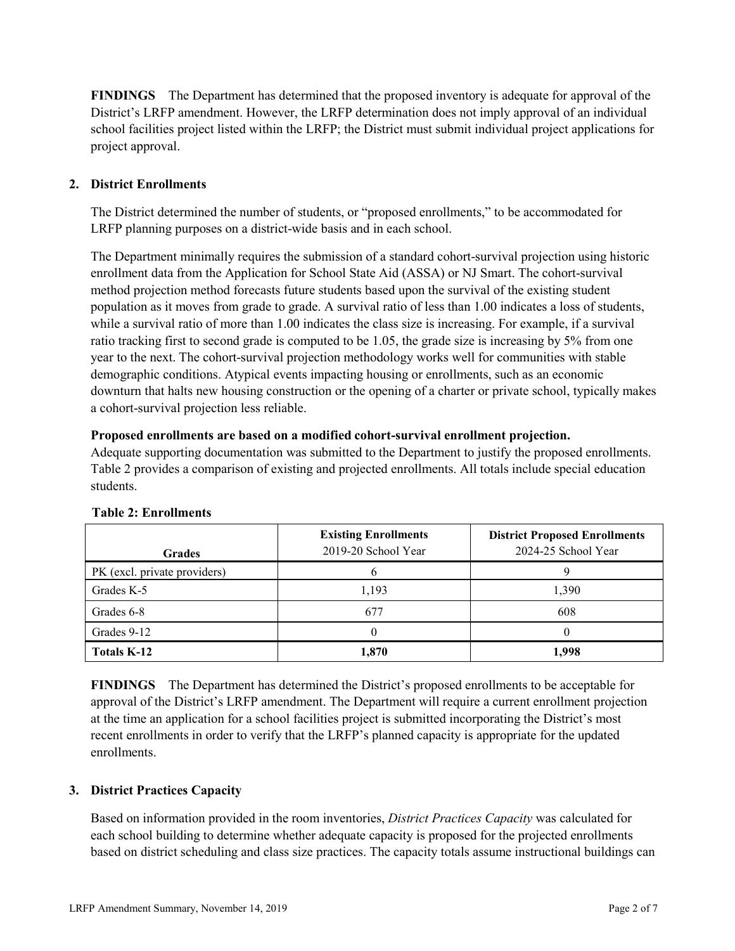**FINDINGS** The Department has determined that the proposed inventory is adequate for approval of the District's LRFP amendment. However, the LRFP determination does not imply approval of an individual school facilities project listed within the LRFP; the District must submit individual project applications for project approval.

# **2. District Enrollments**

The District determined the number of students, or "proposed enrollments," to be accommodated for LRFP planning purposes on a district-wide basis and in each school.

The Department minimally requires the submission of a standard cohort-survival projection using historic enrollment data from the Application for School State Aid (ASSA) or NJ Smart. The cohort-survival method projection method forecasts future students based upon the survival of the existing student population as it moves from grade to grade. A survival ratio of less than 1.00 indicates a loss of students, while a survival ratio of more than 1.00 indicates the class size is increasing. For example, if a survival ratio tracking first to second grade is computed to be 1.05, the grade size is increasing by 5% from one year to the next. The cohort-survival projection methodology works well for communities with stable demographic conditions. Atypical events impacting housing or enrollments, such as an economic downturn that halts new housing construction or the opening of a charter or private school, typically makes a cohort-survival projection less reliable.

### **Proposed enrollments are based on a modified cohort-survival enrollment projection.**

Adequate supporting documentation was submitted to the Department to justify the proposed enrollments. Table 2 provides a comparison of existing and projected enrollments. All totals include special education students.

| <b>Grades</b>                | <b>Existing Enrollments</b><br>2019-20 School Year | <b>District Proposed Enrollments</b><br>2024-25 School Year |
|------------------------------|----------------------------------------------------|-------------------------------------------------------------|
| PK (excl. private providers) |                                                    |                                                             |
| Grades K-5                   | 1,193                                              | 1,390                                                       |
| Grades 6-8                   | 677                                                | 608                                                         |
| Grades 9-12                  |                                                    |                                                             |
| <b>Totals K-12</b>           | 1,870                                              | 1,998                                                       |

#### **Table 2: Enrollments**

**FINDINGS** The Department has determined the District's proposed enrollments to be acceptable for approval of the District's LRFP amendment. The Department will require a current enrollment projection at the time an application for a school facilities project is submitted incorporating the District's most recent enrollments in order to verify that the LRFP's planned capacity is appropriate for the updated enrollments.

# **3. District Practices Capacity**

Based on information provided in the room inventories, *District Practices Capacity* was calculated for each school building to determine whether adequate capacity is proposed for the projected enrollments based on district scheduling and class size practices. The capacity totals assume instructional buildings can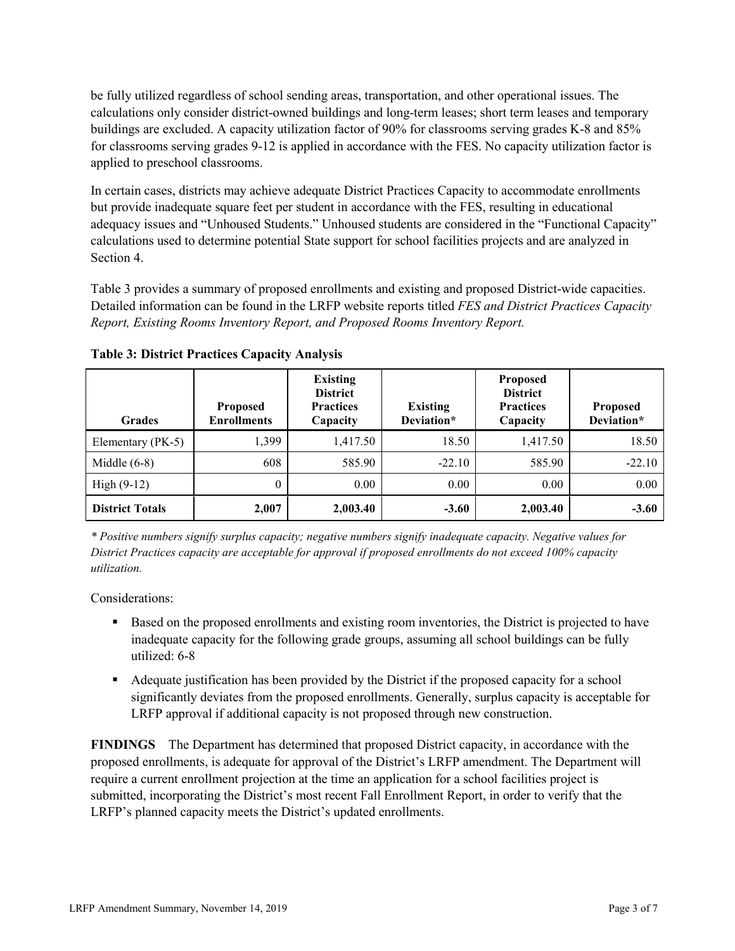be fully utilized regardless of school sending areas, transportation, and other operational issues. The calculations only consider district-owned buildings and long-term leases; short term leases and temporary buildings are excluded. A capacity utilization factor of 90% for classrooms serving grades K-8 and 85% for classrooms serving grades 9-12 is applied in accordance with the FES. No capacity utilization factor is applied to preschool classrooms.

In certain cases, districts may achieve adequate District Practices Capacity to accommodate enrollments but provide inadequate square feet per student in accordance with the FES, resulting in educational adequacy issues and "Unhoused Students." Unhoused students are considered in the "Functional Capacity" calculations used to determine potential State support for school facilities projects and are analyzed in Section 4.

Table 3 provides a summary of proposed enrollments and existing and proposed District-wide capacities. Detailed information can be found in the LRFP website reports titled *FES and District Practices Capacity Report, Existing Rooms Inventory Report, and Proposed Rooms Inventory Report.*

| <b>Grades</b>          | <b>Proposed</b><br><b>Enrollments</b> | <b>Existing</b><br><b>District</b><br><b>Practices</b><br>Capacity | <b>Existing</b><br>Deviation* | <b>Proposed</b><br><b>District</b><br><b>Practices</b><br>Capacity | <b>Proposed</b><br>Deviation* |
|------------------------|---------------------------------------|--------------------------------------------------------------------|-------------------------------|--------------------------------------------------------------------|-------------------------------|
| Elementary (PK-5)      | 1.399                                 | 1,417.50                                                           | 18.50                         | 1,417.50                                                           | 18.50                         |
| Middle $(6-8)$         | 608                                   | 585.90                                                             | $-22.10$                      | 585.90                                                             | $-22.10$                      |
| High $(9-12)$          | $\theta$                              | 0.00                                                               | 0.00                          | 0.00                                                               | 0.00                          |
| <b>District Totals</b> | 2,007                                 | 2,003.40                                                           | $-3.60$                       | 2,003.40                                                           | $-3.60$                       |

**Table 3: District Practices Capacity Analysis**

*\* Positive numbers signify surplus capacity; negative numbers signify inadequate capacity. Negative values for District Practices capacity are acceptable for approval if proposed enrollments do not exceed 100% capacity utilization.*

Considerations:

- **Based on the proposed enrollments and existing room inventories, the District is projected to have** inadequate capacity for the following grade groups, assuming all school buildings can be fully utilized: 6-8
- Adequate justification has been provided by the District if the proposed capacity for a school significantly deviates from the proposed enrollments. Generally, surplus capacity is acceptable for LRFP approval if additional capacity is not proposed through new construction.

**FINDINGS**The Department has determined that proposed District capacity, in accordance with the proposed enrollments, is adequate for approval of the District's LRFP amendment. The Department will require a current enrollment projection at the time an application for a school facilities project is submitted, incorporating the District's most recent Fall Enrollment Report, in order to verify that the LRFP's planned capacity meets the District's updated enrollments.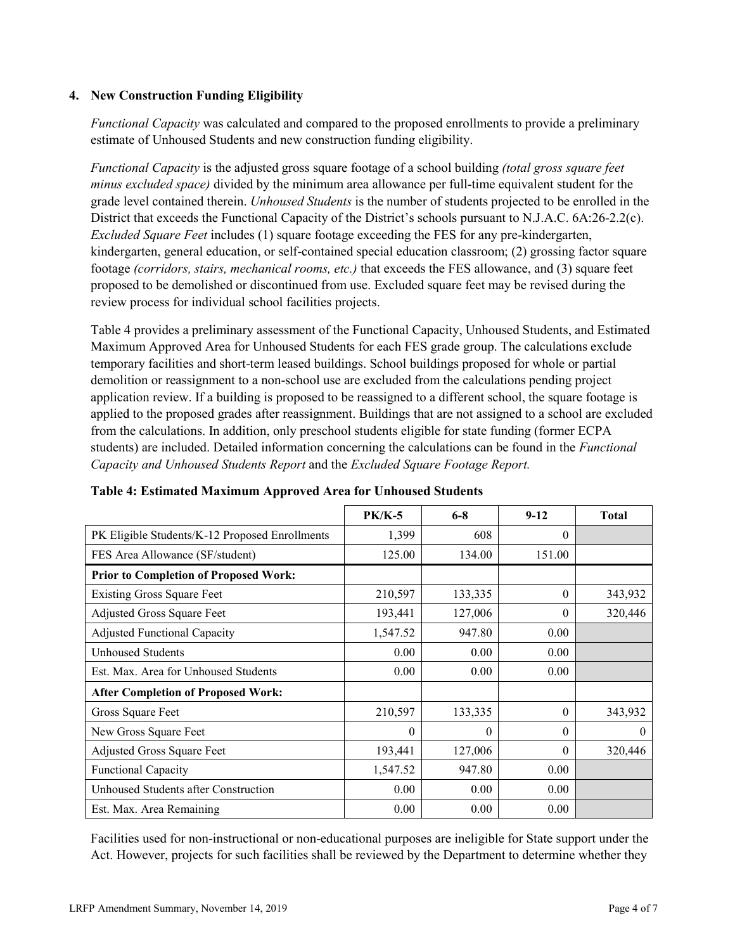### **4. New Construction Funding Eligibility**

*Functional Capacity* was calculated and compared to the proposed enrollments to provide a preliminary estimate of Unhoused Students and new construction funding eligibility.

*Functional Capacity* is the adjusted gross square footage of a school building *(total gross square feet minus excluded space)* divided by the minimum area allowance per full-time equivalent student for the grade level contained therein. *Unhoused Students* is the number of students projected to be enrolled in the District that exceeds the Functional Capacity of the District's schools pursuant to N.J.A.C. 6A:26-2.2(c). *Excluded Square Feet* includes (1) square footage exceeding the FES for any pre-kindergarten, kindergarten, general education, or self-contained special education classroom; (2) grossing factor square footage *(corridors, stairs, mechanical rooms, etc.)* that exceeds the FES allowance, and (3) square feet proposed to be demolished or discontinued from use. Excluded square feet may be revised during the review process for individual school facilities projects.

Table 4 provides a preliminary assessment of the Functional Capacity, Unhoused Students, and Estimated Maximum Approved Area for Unhoused Students for each FES grade group. The calculations exclude temporary facilities and short-term leased buildings. School buildings proposed for whole or partial demolition or reassignment to a non-school use are excluded from the calculations pending project application review. If a building is proposed to be reassigned to a different school, the square footage is applied to the proposed grades after reassignment. Buildings that are not assigned to a school are excluded from the calculations. In addition, only preschool students eligible for state funding (former ECPA students) are included. Detailed information concerning the calculations can be found in the *Functional Capacity and Unhoused Students Report* and the *Excluded Square Footage Report.*

|                                                | $PK/K-5$ | $6 - 8$  | $9 - 12$ | <b>Total</b> |
|------------------------------------------------|----------|----------|----------|--------------|
| PK Eligible Students/K-12 Proposed Enrollments | 1,399    | 608      | $\Omega$ |              |
| FES Area Allowance (SF/student)                | 125.00   | 134.00   | 151.00   |              |
| <b>Prior to Completion of Proposed Work:</b>   |          |          |          |              |
| <b>Existing Gross Square Feet</b>              | 210,597  | 133,335  | $\theta$ | 343,932      |
| Adjusted Gross Square Feet                     | 193,441  | 127,006  | $\theta$ | 320,446      |
| <b>Adjusted Functional Capacity</b>            | 1,547.52 | 947.80   | 0.00     |              |
| Unhoused Students                              | 0.00     | 0.00     | 0.00     |              |
| Est. Max. Area for Unhoused Students           | 0.00     | 0.00     | 0.00     |              |
| <b>After Completion of Proposed Work:</b>      |          |          |          |              |
| Gross Square Feet                              | 210,597  | 133,335  | $\theta$ | 343,932      |
| New Gross Square Feet                          | 0        | $\theta$ | $\Omega$ | $\theta$     |
| <b>Adjusted Gross Square Feet</b>              | 193,441  | 127,006  | $\Omega$ | 320,446      |
| <b>Functional Capacity</b>                     | 1,547.52 | 947.80   | 0.00     |              |
| Unhoused Students after Construction           | 0.00     | 0.00     | 0.00     |              |
| Est. Max. Area Remaining                       | 0.00     | 0.00     | 0.00     |              |

# **Table 4: Estimated Maximum Approved Area for Unhoused Students**

Facilities used for non-instructional or non-educational purposes are ineligible for State support under the Act. However, projects for such facilities shall be reviewed by the Department to determine whether they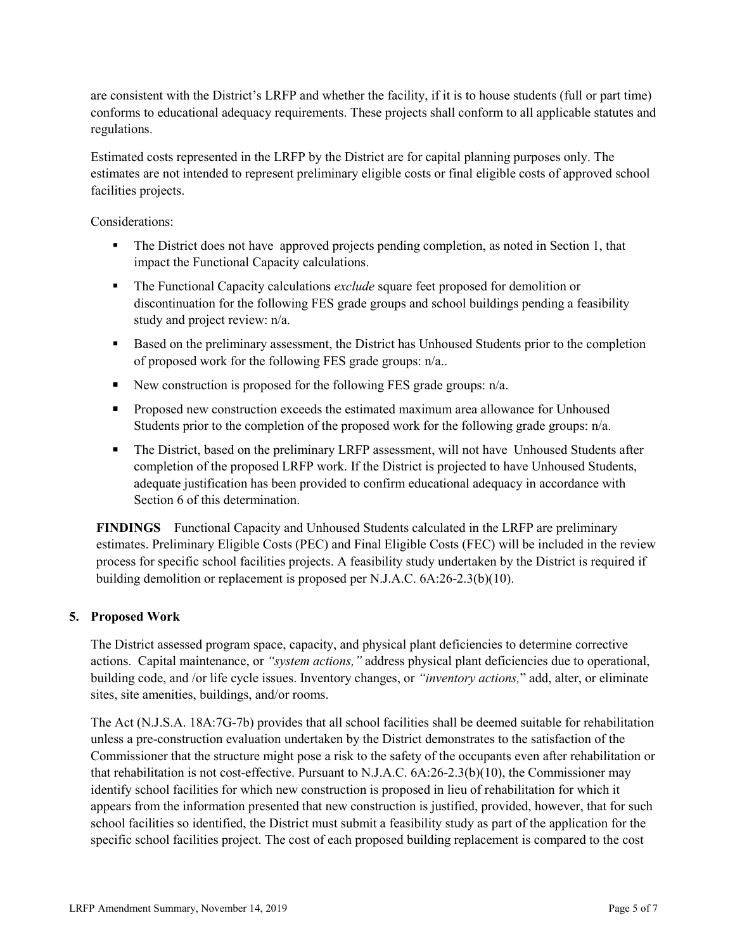are consistent with the District's LRFP and whether the facility, if it is to house students (full or part time) conforms to educational adequacy requirements. These projects shall conform to all applicable statutes and regulations.

Estimated costs represented in the LRFP by the District are for capital planning purposes only. The estimates are not intended to represent preliminary eligible costs or final eligible costs of approved school facilities projects.

Considerations:

- The District does not have approved projects pending completion, as noted in Section 1, that impact the Functional Capacity calculations.
- The Functional Capacity calculations *exclude* square feet proposed for demolition or discontinuation for the following FES grade groups and school buildings pending a feasibility study and project review: n/a.
- Based on the preliminary assessment, the District has Unhoused Students prior to the completion of proposed work for the following FES grade groups: n/a..
- New construction is proposed for the following FES grade groups:  $n/a$ .
- **Proposed new construction exceeds the estimated maximum area allowance for Unhoused** Students prior to the completion of the proposed work for the following grade groups: n/a.
- The District, based on the preliminary LRFP assessment, will not have Unhoused Students after completion of the proposed LRFP work. If the District is projected to have Unhoused Students, adequate justification has been provided to confirm educational adequacy in accordance with Section 6 of this determination.

**FINDINGS** Functional Capacity and Unhoused Students calculated in the LRFP are preliminary estimates. Preliminary Eligible Costs (PEC) and Final Eligible Costs (FEC) will be included in the review process for specific school facilities projects. A feasibility study undertaken by the District is required if building demolition or replacement is proposed per N.J.A.C. 6A:26-2.3(b)(10).

# **5. Proposed Work**

The District assessed program space, capacity, and physical plant deficiencies to determine corrective actions. Capital maintenance, or *"system actions,"* address physical plant deficiencies due to operational, building code, and /or life cycle issues. Inventory changes, or *"inventory actions,*" add, alter, or eliminate sites, site amenities, buildings, and/or rooms.

The Act (N.J.S.A. 18A:7G-7b) provides that all school facilities shall be deemed suitable for rehabilitation unless a pre-construction evaluation undertaken by the District demonstrates to the satisfaction of the Commissioner that the structure might pose a risk to the safety of the occupants even after rehabilitation or that rehabilitation is not cost-effective. Pursuant to N.J.A.C. 6A:26-2.3(b)(10), the Commissioner may identify school facilities for which new construction is proposed in lieu of rehabilitation for which it appears from the information presented that new construction is justified, provided, however, that for such school facilities so identified, the District must submit a feasibility study as part of the application for the specific school facilities project. The cost of each proposed building replacement is compared to the cost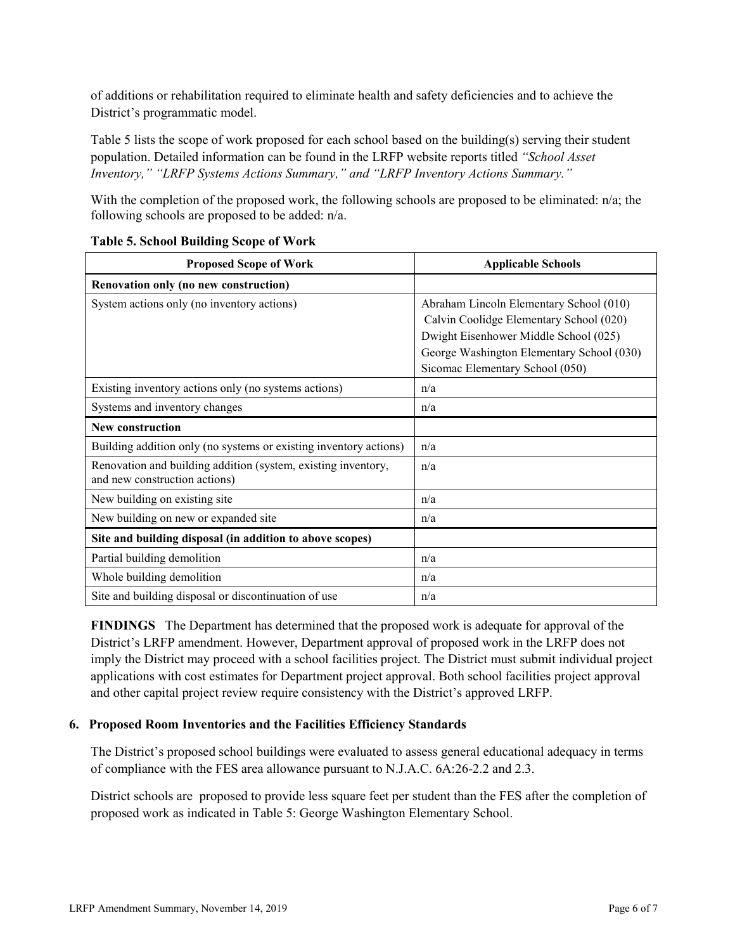of additions or rehabilitation required to eliminate health and safety deficiencies and to achieve the District's programmatic model.

Table 5 lists the scope of work proposed for each school based on the building(s) serving their student population. Detailed information can be found in the LRFP website reports titled *"School Asset Inventory," "LRFP Systems Actions Summary," and "LRFP Inventory Actions Summary."*

With the completion of the proposed work, the following schools are proposed to be eliminated: n/a; the following schools are proposed to be added: n/a.

| <b>Proposed Scope of Work</b>                                                                  | <b>Applicable Schools</b>                 |  |  |
|------------------------------------------------------------------------------------------------|-------------------------------------------|--|--|
| Renovation only (no new construction)                                                          |                                           |  |  |
| System actions only (no inventory actions)                                                     | Abraham Lincoln Elementary School (010)   |  |  |
|                                                                                                | Calvin Coolidge Elementary School (020)   |  |  |
|                                                                                                | Dwight Eisenhower Middle School (025)     |  |  |
|                                                                                                | George Washington Elementary School (030) |  |  |
|                                                                                                | Sicomac Elementary School (050)           |  |  |
| Existing inventory actions only (no systems actions)                                           | n/a                                       |  |  |
| Systems and inventory changes                                                                  | n/a                                       |  |  |
| <b>New construction</b>                                                                        |                                           |  |  |
| Building addition only (no systems or existing inventory actions)                              | n/a                                       |  |  |
| Renovation and building addition (system, existing inventory,<br>and new construction actions) | n/a                                       |  |  |
| New building on existing site                                                                  | n/a                                       |  |  |
| New building on new or expanded site                                                           | n/a                                       |  |  |
| Site and building disposal (in addition to above scopes)                                       |                                           |  |  |
| Partial building demolition                                                                    | n/a                                       |  |  |
| Whole building demolition                                                                      | n/a                                       |  |  |
| Site and building disposal or discontinuation of use                                           | n/a                                       |  |  |

### **Table 5. School Building Scope of Work**

**FINDINGS** The Department has determined that the proposed work is adequate for approval of the District's LRFP amendment. However, Department approval of proposed work in the LRFP does not imply the District may proceed with a school facilities project. The District must submit individual project applications with cost estimates for Department project approval. Both school facilities project approval and other capital project review require consistency with the District's approved LRFP.

# **6. Proposed Room Inventories and the Facilities Efficiency Standards**

The District's proposed school buildings were evaluated to assess general educational adequacy in terms of compliance with the FES area allowance pursuant to N.J.A.C. 6A:26-2.2 and 2.3.

District schools are proposed to provide less square feet per student than the FES after the completion of proposed work as indicated in Table 5: George Washington Elementary School.